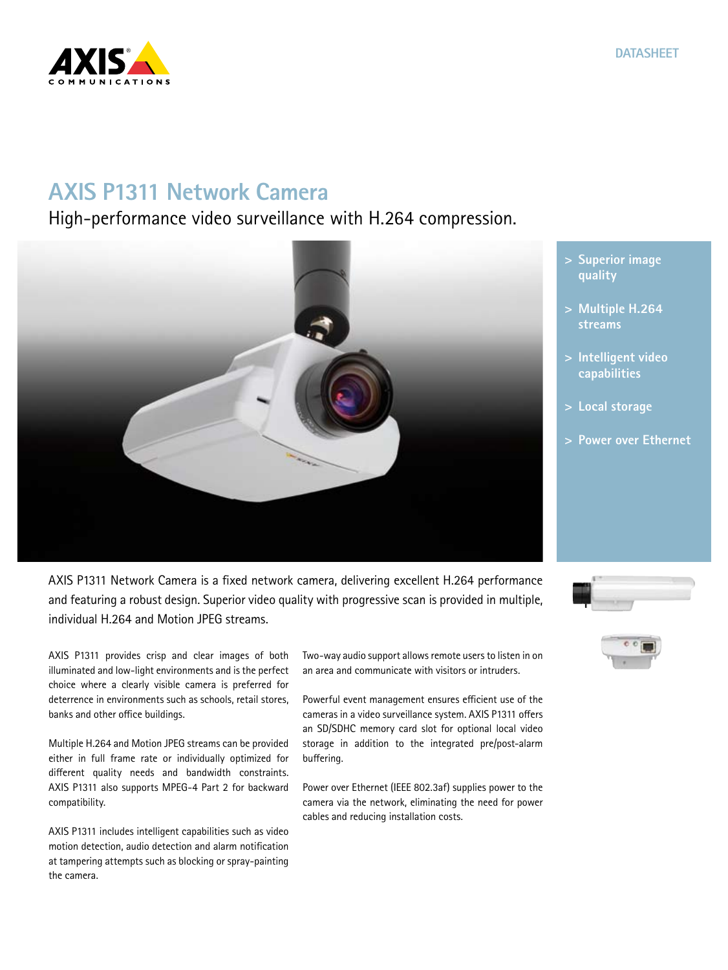# **AXIS P1311 Network Camera**

High-performance video surveillance with H.264 compression.



AXIS P1311 provides crisp and clear images of both illuminated and low-light environments and is the perfect choice where a clearly visible camera is preferred for deterrence in environments such as schools, retail stores, banks and other office buildings.

Multiple H.264 and Motion JPEG streams can be provided either in full frame rate or individually optimized for different quality needs and bandwidth constraints. AXIS P1311 also supports MPEG-4 Part 2 for backward compatibility.

AXIS P1311 includes intelligent capabilities such as video motion detection, audio detection and alarm notification at tampering attempts such as blocking or spray-painting the camera.

Two-way audio support allows remote users to listen in on an area and communicate with visitors or intruders.

Powerful event management ensures efficient use of the cameras in a video surveillance system. AXIS P1311 offers an SD/SDHC memory card slot for optional local video storage in addition to the integrated pre/post-alarm buffering.

Power over Ethernet (IEEE 802.3af) supplies power to the camera via the network, eliminating the need for power cables and reducing installation costs.

**> Superior image quality**

- **> Multiple H.264 streams**
- **> Intelligent video capabilities**
- **> Local storage**
- **> Power over Ethernet**